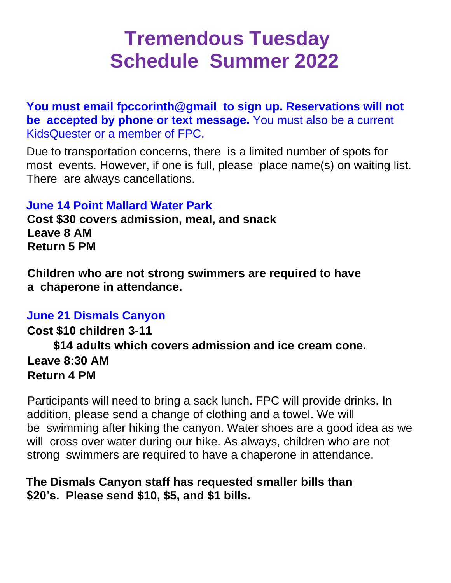# **Tremendous Tuesday Schedule Summer 2022**

**You must email fpccorinth@gmail to sign up. Reservations will not be accepted by phone or text message.** You must also be a current KidsQuester or a member of FPC.

Due to transportation concerns, there is a limited number of spots for most events. However, if one is full, please place name(s) on waiting list. There are always cancellations.

### **June 14 Point Mallard Water Park**

**Cost \$30 covers admission, meal, and snack Leave 8 AM Return 5 PM**

**Children who are not strong swimmers are required to have a chaperone in attendance.**

#### **June 21 Dismals Canyon**

**Cost \$10 children 3-11 \$14 adults which covers admission and ice cream cone. Leave 8:30 AM Return 4 PM**

Participants will need to bring a sack lunch. FPC will provide drinks. In addition, please send a change of clothing and a towel. We will be swimming after hiking the canyon. Water shoes are a good idea as we will cross over water during our hike. As always, children who are not strong swimmers are required to have a chaperone in attendance.

## **The Dismals Canyon staff has requested smaller bills than \$20's. Please send \$10, \$5, and \$1 bills.**